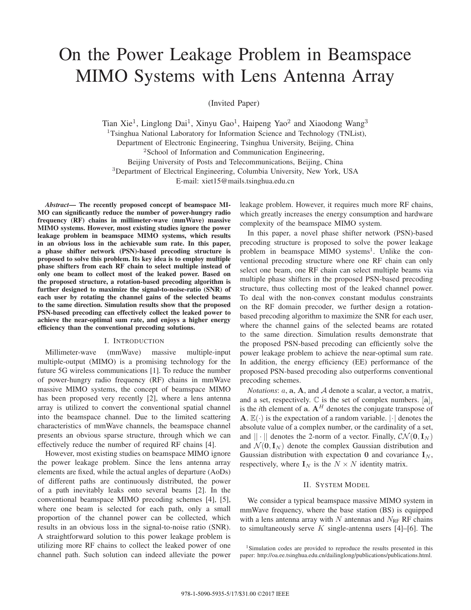# On the Power Leakage Problem in Beamspace MIMO Systems with Lens Antenna Array

(Invited Paper)

Tian Xie<sup>1</sup>, Linglong Dai<sup>1</sup>, Xinyu Gao<sup>1</sup>, Haipeng Yao<sup>2</sup> and Xiaodong Wang<sup>3</sup> <sup>1</sup>Tsinghua National Laboratory for Information Science and Technology (TNList), Department of Electronic Engineering, Tsinghua University, Beijing, China <sup>2</sup>School of Information and Communication Engineering, Beijing University of Posts and Telecommunications, Beijing, China <sup>3</sup>Department of Electrical Engineering, Columbia University, New York, USA E-mail: xiet15@mails.tsinghua.edu.cn

*Abstract***— The recently proposed concept of beamspace MI-MO can significantly reduce the number of power-hungry radio frequency (RF) chains in millimeter-wave (mmWave) massive MIMO systems. However, most existing studies ignore the power leakage problem in beamspace MIMO systems, which results in an obvious loss in the achievable sum rate. In this paper, a phase shifter network (PSN)-based precoding structure is proposed to solve this problem. Its key idea is to employ multiple phase shifters from each RF chain to select multiple instead of only one beam to collect most of the leaked power. Based on the proposed structure, a rotation-based precoding algorithm is further designed to maximize the signal-to-noise-ratio (SNR) of each user by rotating the channel gains of the selected beams to the same direction. Simulation results show that the proposed PSN-based precoding can effectively collect the leaked power to achieve the near-optimal sum rate, and enjoys a higher energy efficiency than the conventional precoding solutions.**

#### I. INTRODUCTION

Millimeter-wave (mmWave) massive multiple-input multiple-output (MIMO) is a promising technology for the future 5G wireless communications [1]. To reduce the number of power-hungry radio frequency (RF) chains in mmWave massive MIMO systems, the concept of beamspace MIMO has been proposed very recently [2], where a lens antenna array is utilized to convert the conventional spatial channel into the beamspace channel. Due to the limited scattering characteristics of mmWave channels, the beamspace channel presents an obvious sparse structure, through which we can effectively reduce the number of required RF chains [4].

However, most existing studies on beamspace MIMO ignore the power leakage problem. Since the lens antenna array elements are fixed, while the actual angles of departure (AoDs) of different paths are continuously distributed, the power of a path inevitably leaks onto several beams [2]. In the conventional beamspace MIMO precoding schemes [4], [5], where one beam is selected for each path, only a small proportion of the channel power can be collected, which results in an obvious loss in the signal-to-noise ratio (SNR). A straightforward solution to this power leakage problem is utilizing more RF chains to collect the leaked power of one channel path. Such solution can indeed alleviate the power

leakage problem. However, it requires much more RF chains, which greatly increases the energy consumption and hardware complexity of the beamspace MIMO system.

In this paper, a novel phase shifter network (PSN)-based precoding structure is proposed to solve the power leakage problem in beamspace  $MIMO$  systems<sup>1</sup>. Unlike the conventional precoding structure where one RF chain can only select one beam, one RF chain can select multiple beams via multiple phase shifters in the proposed PSN-based precoding structure, thus collecting most of the leaked channel power. To deal with the non-convex constant modulus constraints on the RF domain precoder, we further design a rotationbased precoding algorithm to maximize the SNR for each user, where the channel gains of the selected beams are rotated to the same direction. Simulation results demonstrate that the proposed PSN-based precoding can efficiently solve the power leakage problem to achieve the near-optimal sum rate. In addition, the energy efficiency (EE) performance of the proposed PSN-based precoding also outperforms conventional precoding schemes.

*Notations*:  $a$ ,  $a$ ,  $A$ , and  $A$  denote a scalar, a vector, a matrix, and a set, respectively.  $\mathbb{C}$  is the set of complex numbers.  $[\mathbf{a}]_i$ is the *i*th element of **a**.  $A^H$  denotes the conjugate transpose of **A**.  $\mathbb{E}(\cdot)$  is the expectation of a random variable.  $|\cdot|$  denotes the absolute value of a complex number, or the cardinality of a set, and  $|| \cdot ||$  denotes the 2-norm of a vector. Finally,  $\mathcal{CN}(\mathbf{0}, \mathbf{I}_N)$ and  $\mathcal{N}(\mathbf{0}, \mathbf{I}_N)$  denote the complex Gaussian distribution and Gaussian distribution with expectation  $\mathbf{0}$  and covariance  $\mathbf{I}_N$ , respectively, where  $\mathbf{I}_N$  is the  $N \times N$  identity matrix.

## II. SYSTEM MODEL

We consider a typical beamspace massive MIMO system in mmWave frequency, where the base station (BS) is equipped with a lens antenna array with  $N$  antennas and  $N_{RF}$  RF chains to simultaneously serve  $K$  single-antenna users [4]–[6]. The

<sup>&</sup>lt;sup>1</sup>Simulation codes are provided to reproduce the results presented in this paper: http://oa.ee.tsinghua.edu.cn/dailinglong/publications/publications.html.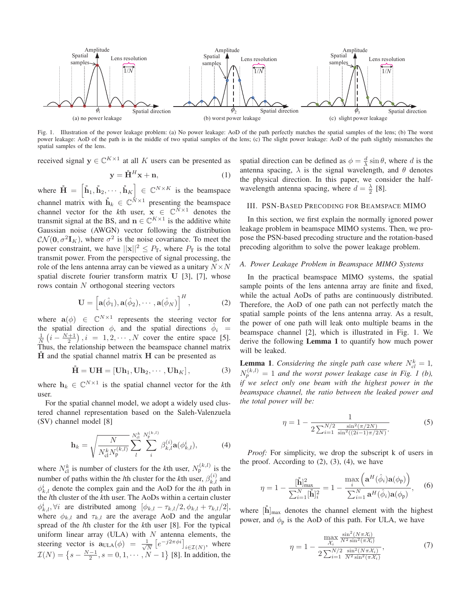

Fig. 1. Illustration of the power leakage problem: (a) No power leakage: AoD of the path perfectly matches the spatial samples of the lens; (b) The worst power leakage: AoD of the path is in the middle of two spatial samples of the lens; (c) The slight power leakage: AoD of the path slightly mismatches the spatial samples of the lens.

received signal  $y \in \mathbb{C}^{K \times 1}$  at all K users can be presented as

$$
\mathbf{y} = \mathbf{\hat{H}}^H \mathbf{x} + \mathbf{n},\tag{1}
$$

where  $\hat{\mathbf{H}} = \begin{bmatrix} \hat{\mathbf{h}}_1, \hat{\mathbf{h}}_2, \cdots, \hat{\mathbf{h}}_K \end{bmatrix} \in \mathbb{C}^{N \times K}$  is the beamspace channel matrix with  $\mathring{\mathbf{h}}_k \in \mathbb{C}^{\bar{N} \times 1}$  presenting the beamspace channel vector for the *k*th user,  $\mathbf{x} \in \mathbb{C}^{N \times 1}$  denotes the transmit signal at the BS, and **n**  $\in \mathbb{C}^{K \times 1}$  is the additive white Gaussian noise (AWGN) vector following the distribution  $\mathcal{CN}(\mathbf{0}, \sigma^2 \mathbf{I}_K)$ , where  $\sigma^2$  is the noise covariance. To meet the power constraint, we have  $||\mathbf{x}||^2 \leq P_T$ , where  $P_T$  is the total transmit power. From the perspective of signal processing, the role of the lens antenna array can be viewed as a unitary  $N \times N$ spatial discrete fourier transform matrix **U** [3], [7], whose rows contain  $N$  orthogonal steering vectors

$$
\mathbf{U} = \left[ \mathbf{a}(\hat{\phi}_1), \mathbf{a}(\hat{\phi}_2), \cdots, \mathbf{a}(\hat{\phi}_N) \right]^H, \tag{2}
$$

where  $\mathbf{a}(\phi) \in \mathbb{C}^{N \times 1}$  represents the steering vector for the spatial direction  $\phi$ , and the spatial directions  $\hat{\phi}_i$  =  $\frac{1}{N}\left(i - \frac{N+1}{2}\right), i = 1, 2, \cdots, N$  cover the entire space [5]. Thus, the relationship between the beamspace channel matrix **H** and the spatial channel matrix **H** can be presented as

$$
\hat{\mathbf{H}} = \mathbf{UH} = [\mathbf{Uh}_1, \mathbf{Uh}_2, \cdots, \mathbf{Uh}_K], \tag{3}
$$

where  $\mathbf{h}_k \in \mathbb{C}^{N \times 1}$  is the spatial channel vector for the *k*th user.

For the spatial channel model, we adopt a widely used clustered channel representation based on the Saleh-Valenzuela (SV) channel model [8]

$$
\mathbf{h}_{k} = \sqrt{\frac{N}{N_{\rm cl}^{k} N_{\rm p}^{(k,l)}}} \sum_{l}^{N_{\rm cl}^{k}} \sum_{i}^{N_{\rm p}^{(k,l)}} \beta_{k,l}^{(i)} \mathbf{a}(\phi_{k,l}^{i}), \tag{4}
$$

where  $N_{\text{cl}}^k$  is number of clusters for the *k*th user,  $N_{\text{p}}^{(k,l)}$  is the number of paths within the *l*th cluster for the *k*th user,  $\beta_{k,l}^{(i)}$  and  $\phi_{k,l}^{i}$  denote the complex gain and the AoD for the *i*th path in the *l*th cluster of the *k*th user. The AoDs within a certain cluster  $\phi_{k,l}^i$ ,  $\forall i$  are distributed among  $[\phi_{k,l} - \tau_{k,l}/2, \phi_{k,l} + \tau_{k,l}/2],$ where  $\phi_{k,l}$  and  $\tau_{k,l}$  are the average AoD and the angular spread of the *l*th cluster for the *k*th user [8]. For the typical uniform linear array (ULA) with  $N$  antenna elements, the steering vector is  $\mathbf{a}_{\text{ULA}}(\phi) = \frac{1}{\sqrt{2}}$  $\frac{1}{N} \left[ e^{-j2\pi\phi i} \right]_{i \in \mathcal{I}(N)}$ , where  $\mathcal{I}(N) = \left\{ s - \frac{N-1}{2}, s = 0, 1, \cdots, N-1 \right\}$  [8]. In addition, the spatial direction can be defined as  $\phi = \frac{d}{\lambda} \sin \theta$ , where d is the antenna spacing,  $\lambda$  is the signal wavelength, and  $\theta$  denotes the physical direction. In this paper, we consider the halfwavelength antenna spacing, where  $d = \frac{\lambda}{2}$  [8].

# III. PSN-BASED PRECODING FOR BEAMSPACE MIMO

In this section, we first explain the normally ignored power leakage problem in beamspace MIMO systems. Then, we propose the PSN-based precoding structure and the rotation-based precoding algorithm to solve the power leakage problem.

## *A. Power Leakage Problem in Beamspace MIMO Systems*

In the practical beamspace MIMO systems, the spatial sample points of the lens antenna array are finite and fixed, while the actual AoDs of paths are continuously distributed. Therefore, the AoD of one path can not perfectly match the spatial sample points of the lens antenna array. As a result, the power of one path will leak onto multiple beams in the beamspace channel [2], which is illustrated in Fig. 1. We derive the following **Lemma 1** to quantify how much power will be leaked.

**Lemma 1.** *Considering the single path case where*  $N_{cl}^k = 1$ *,*  $N_p^{(k,l)} = 1$  *and the worst power leakage case in Fig. 1 (b), if we select only one beam with the highest power in the beamspace channel, the ratio between the leaked power and the total power will be:*

$$
\eta = 1 - \frac{1}{2 \sum_{i=1}^{N/2} \frac{\sin^2(\pi/2N)}{\sin^2((2i-1)\pi/2N)}}.
$$
(5)

*Proof:* For simplicity, we drop the subscript k of users in the proof. According to  $(2)$ ,  $(3)$ ,  $(4)$ , we have

$$
\eta = 1 - \frac{[\mathring{\mathbf{h}}]_{\text{max}}^2}{\sum_{i=1}^N [\mathring{\mathbf{h}}]_i^2} = 1 - \frac{\max\left(\mathbf{a}^H(\hat{\phi}_i)\mathbf{a}(\phi_{\text{p}})\right)}{\sum_{i=1}^N \mathbf{a}^H(\hat{\phi}_i)\mathbf{a}(\phi_{\text{p}})},
$$
(6)

where [ **˚h**]max denotes the channel element with the highest power, and  $\phi_p$  is the AoD of this path. For ULA, we have

$$
\eta = 1 - \frac{\max_{\mathcal{X}_i} \frac{\sin^2(N\pi \mathcal{X}_i)}{N^2 \sin^2(\pi \mathcal{X}_i)}}{2 \sum_{i=1}^{N/2} \frac{\sin^2(N\pi \mathcal{X}_i)}{N^2 \sin^2(\pi \mathcal{X}_i)}},\tag{7}
$$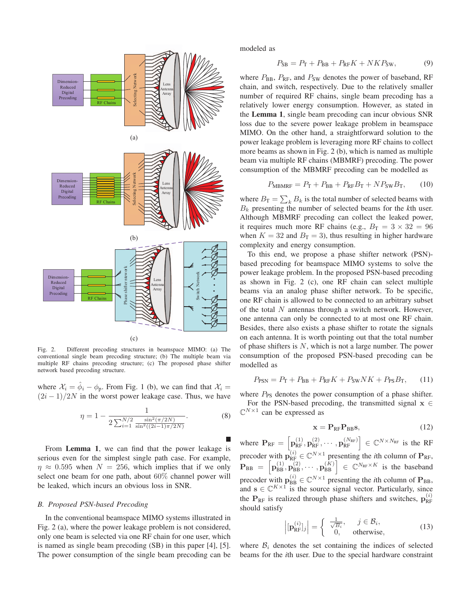

Fig. 2. Different precoding structures in beamspace MIMO: (a) The conventional single beam precoding structure; (b) The multiple beam via multiple RF chains precoding structure; (c) The proposed phase shifter network based precoding structure.

where  $\mathcal{X}_i = \phi_i - \phi_p$ . From Fig. 1 (b), we can find that  $\mathcal{X}_i =$  $(2i - 1)/2N$  in the worst power leakage case. Thus, we have

$$
\eta = 1 - \frac{1}{2 \sum_{i=1}^{N/2} \frac{\sin^2(\pi/2N)}{\sin^2((2i-1)\pi/2N)}}.
$$
\n(8)

From **Lemma 1**, we can find that the power leakage is serious even for the simplest single path case. For example,  $\eta \approx 0.595$  when  $N = 256$ , which implies that if we only select one beam for one path, about 60% channel power will be leaked, which incurs an obvious loss in SNR.

# *B. Proposed PSN-based Precoding*

In the conventional beamspace MIMO systems illustrated in Fig. 2 (a), where the power leakage problem is not considered, only one beam is selected via one RF chain for one user, which is named as single beam precoding (SB) in this paper [4], [5]. The power consumption of the single beam precoding can be modeled as

$$
P_{\rm SB} = P_{\rm T} + P_{\rm BB} + P_{\rm RF}K + NKP_{\rm SW},\tag{9}
$$

where  $P_{\text{BB}}$ ,  $P_{\text{RF}}$ , and  $P_{\text{SW}}$  denotes the power of baseband, RF chain, and switch, respectively. Due to the relatively smaller number of required RF chains, single beam precoding has a relatively lower energy consumption. However, as stated in the **Lemma 1**, single beam precoding can incur obvious SNR loss due to the severe power leakage problem in beamspace MIMO. On the other hand, a straightforward solution to the power leakage problem is leveraging more RF chains to collect more beams as shown in Fig. 2 (b), which is named as multiple beam via multiple RF chains (MBMRF) precoding. The power consumption of the MBMRF precoding can be modelled as

$$
P_{MBMRF} = P_T + P_{BB} + P_{RF}B_T + NP_{SW}B_T, \qquad (10)
$$

where  $B_T = \sum_k B_k$  is the total number of selected beams with  $B_k$  presenting the number of selected beams for the  $k$ th user. Although MBMRF precoding can collect the leaked power, it requires much more RF chains (e.g.,  $B_T = 3 \times 32 = 96$ when  $K = 32$  and  $B<sub>T</sub> = 3$ ), thus resulting in higher hardware complexity and energy consumption.

To this end, we propose a phase shifter network (PSN) based precoding for beamspace MIMO systems to solve the power leakage problem. In the proposed PSN-based precoding as shown in Fig. 2 (c), one RF chain can select multiple beams via an analog phase shifter network. To be specific, one RF chain is allowed to be connected to an arbitrary subset of the total  $N$  antennas through a switch network. However, one antenna can only be connected to at most one RF chain. Besides, there also exists a phase shifter to rotate the signals on each antenna. It is worth pointing out that the total number of phase shifters is  $N$ , which is not a large number. The power consumption of the proposed PSN-based precoding can be modelled as

$$
P_{\rm PSN} = P_{\rm T} + P_{\rm BB} + P_{\rm RF}K + P_{\rm SW}NK + P_{\rm PS}B_{\rm T},\qquad(11)
$$

where  $P_{PS}$  denotes the power consumption of a phase shifter. For the PSN-based precoding, the transmitted signal  $x \in$ 

 $\mathbb{C}^{N\times 1}$  can be expressed as

$$
\mathbf{x} = \mathbf{P}_{\text{RF}} \mathbf{P}_{\text{BB}} \mathbf{s},\tag{12}
$$

where  $P_{RF} = \left[ p_{RF}^{(1)}, p_{RF}^{(2)}, \cdots, p_{RF}^{(N_{RF})} \right] \in \mathbb{C}^{N \times N_{RF}}$  is the RF precoder with  $\mathbf{p}_{RF}^{(i)} \in \mathbb{C}^{N \times 1}$  presenting the *i*th column of  $\mathbf{P}_{RF}$ ,  $\mathbf{P}_{\text{BB}} = \left[ \mathbf{p}_{\text{BB}}^{(1)}, \mathbf{p}_{\text{BB}}^{(2)}, \cdots, \mathbf{p}_{\text{BB}}^{(K)} \right] \in \mathbb{C}^{N_{\text{RF}} \times K}$  is the baseband precoder with  $\mathbf{p}_{\text{BB}}^{(i)} \in \mathbb{C}^{N \times 1}$  presenting the *i*th column of  $\mathbf{P}_{\text{BB}}$ , and  $\mathbf{s} \in \mathbb{C}^{K \times 1}$  is the source signal vector. Particularly, since the  $P_{RF}$  is realized through phase shifters and switches,  $p_{RF}^{(i)}$ should satisfy

$$
\left| [\mathbf{p}_{\text{RF}}^{(i)}]_j \right| = \begin{cases} \frac{1}{\sqrt{B_i}}, & j \in \mathcal{B}_i, \\ 0, & \text{otherwise,} \end{cases}
$$
(13)

where  $B_i$  denotes the set containing the indices of selected beams for the *i*th user. Due to the special hardware constraint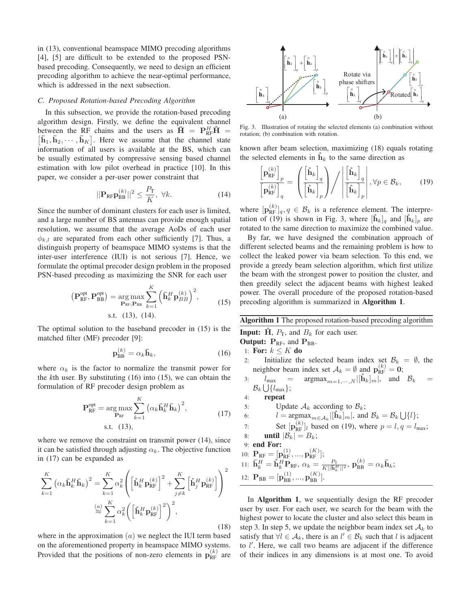in (13), conventional beamspace MIMO precoding algorithms [4], [5] are difficult to be extended to the proposed PSNbased precoding. Consequently, we need to design an efficient precoding algorithm to achieve the near-optimal performance, which is addressed in the next subsection.

## *C. Proposed Rotation-based Precoding Algorithm*

In this subsection, we provide the rotation-based precoding algorithm design. Firstly, we define the equivalent channel between the RF chains and the users as  $\overline{H} = P_{RF}^H \hat{H} = [\overline{h}_1, \overline{h}_2, \cdots, \overline{h}_K]$ . Here we assume that the channel state  $\bar{\mathbf{h}}_1, \bar{\mathbf{h}}_2, \cdots, \bar{\mathbf{h}}_K$ . Here we assume that the channel state information of all users is available at the BS, which can be usually estimated by compressive sensing based channel estimation with low pilot overhead in practice [10]. In this paper, we consider a per-user power constraint that

$$
||\mathbf{P}_{\text{RF}}\mathbf{p}_{\text{BB}}^{(k)}||^{2} \leq \frac{P_{\text{T}}}{K}, \ \forall k. \tag{14}
$$

Since the number of dominant clusters for each user is limited, and a large number of BS antennas can provide enough spatial resolution, we assume that the average AoDs of each user  $\phi_{k,l}$  are separated from each other sufficiently [7]. Thus, a distinguish property of beamspace MIMO systems is that the inter-user interference (IUI) is not serious [7]. Hence, we formulate the optimal precoder design problem in the proposed PSN-based precoding as maximizing the SNR for each user

$$
\left(\mathbf{P}_{\text{RF}}^{\text{opt}}, \mathbf{P}_{\text{BB}}^{\text{opt}}\right) = \underset{\mathbf{P}_{\text{RF}}, \mathbf{P}_{\text{BB}}} {\arg \max} \sum_{k=1}^{K} \left(\bar{\mathbf{h}}_{k}^{H} \mathbf{p}_{BB}^{(k)}\right)^{2},
$$
\n
$$
\text{s.t.} \quad (13), \quad (14).
$$
\n(15)

The optimal solution to the baseband precoder in (15) is the matched filter (MF) precoder [9]:

$$
\mathbf{p}_{\mathrm{BB}}^{(k)} = \alpha_k \bar{\mathbf{h}}_k,\tag{16}
$$

where  $\alpha_k$  is the factor to normalize the transmit power for the *k*th user. By substituting (16) into (15), we can obtain the formulation of RF precoder design problem as

$$
\mathbf{P}_{\text{RF}}^{\text{opt}} = \underset{\mathbf{P}_{\text{RF}}}{\arg \max} \sum_{k=1}^{K} \left( \alpha_k \mathbf{\bar{h}}_k^H \mathbf{\bar{h}}_k \right)^2, \tag{17}
$$
\n
$$
\text{s.t.} \quad (13),
$$

where we remove the constraint on transmit power (14), since it can be satisfied through adjusting  $\alpha_k$ . The objective function in (17) can be expanded as

$$
\sum_{k=1}^{K} (\alpha_k \bar{\mathbf{h}}_k^H \bar{\mathbf{h}}_k)^2 = \sum_{k=1}^{K} \alpha_k^2 \left( \left[ \mathbf{\mathring{h}}_k^H \mathbf{p}_{RF}^{(k)} \right]^2 + \sum_{j \neq k}^{K} \left[ \mathbf{\mathring{h}}_j^H \mathbf{p}_{RF}^{(k)} \right] \right)^2
$$

$$
\approx \sum_{k=1}^{(a)} \alpha_k^2 \left( \left[ \mathbf{\mathring{h}}_k^H \mathbf{p}_{RF}^{(k)} \right]^2 \right)^2, \tag{18}
$$

where in the approximation  $(a)$  we neglect the IUI term based on the aforementioned property in beamspace MIMO systems. Provided that the positions of non-zero elements in  $p_{RF}^{(k)}$  are



Fig. 3. Illustration of rotating the selected elements (a) combination without rotation; (b) combination with rotation.

known after beam selection, maximizing (18) equals rotating the selected elements in  $\mathbf{h}_k$  to the same direction as

$$
\frac{\begin{bmatrix} \mathbf{p}_{\text{RF}}^{(k)} \end{bmatrix}_p}{\begin{bmatrix} \mathbf{p}_{\text{RF}}^{(k)} \end{bmatrix}_q} = \left( \frac{\begin{bmatrix} \mathbf{\hat{n}}_k \end{bmatrix}_q}{\begin{bmatrix} \mathbf{\hat{n}}_k \end{bmatrix}_p} \right) / \left| \frac{\begin{bmatrix} \mathbf{\hat{n}}_k \end{bmatrix}_q}{\begin{bmatrix} \mathbf{\hat{n}}_k \end{bmatrix}_p} \right|, \forall p \in \mathcal{B}_k, \tag{19}
$$

where  $[\mathbf{p}_{\text{RF}}^{(k)}]_q, q \in \mathcal{B}_k$  is a reference element. The interpretation of (19) is shown in Fig. 3, where  $[\hat{\mathbf{h}}_k]_q$  and  $[\hat{\mathbf{h}}_k]_p$  are rotated to the same direction to maximize the combined value.

By far, we have designed the combination approach of different selected beams and the remaining problem is how to collect the leaked power via beam selection. To this end, we provide a greedy beam selection algorithm, which first utilize the beam with the strongest power to position the cluster, and then greedily select the adjacent beams with highest leaked power. The overall procedure of the proposed rotation-based precoding algorithm is summarized in **Algorithm 1**.

**Algorithm 1** The proposed rotation-based precoding algorithm

**Input: H**,  $P_T$ , and  $B_k$  for each user.

**Output:**  $P_{RF}$ , and  $P_{BB}$ .

1: **For:**  $k \leq K$  **do** 

- 2: Initialize the selected beam index set  $\mathcal{B}_k = \emptyset$ , the neighbor beam index set  $A_k = \emptyset$  and  $\mathbf{p}_{RF}^{(k)} = \mathbf{0}$ ;
- 3:  $l_{\max}$  = argmax<sub>m=1,</sub>...,<sub>N</sub>|[ $\hat{\mathbf{h}}_k$ ]<sub>m</sub>|, and  $\mathcal{B}_k$  =  $\mathcal{B}_k \bigcup \{l_{\max}\};$
- 4: **repeat**
- 5: Update  $A_k$  according to  $B_k$ ;
- 6:  $l = \underset{(k)}{\operatorname{argmax}}_{m \in A_k} |[\mathbf{\hat{h}}_k]_m|$ , and  $\mathcal{B}_k = \mathcal{B}_k \bigcup \{l\};$

7: Set 
$$
[\mathbf{p}_{\text{RF}}^{(k)}]_l
$$
 based on (19), where  $p = l, q = l_{\text{max}}$ ;

8: **until** 
$$
|\mathcal{B}_k| = B_k
$$
;  
9: **end For:**

10: 
$$
\mathbf{P}_{RF} = [\mathbf{p}_{RF}^{(1)}, ..., \mathbf{p}_{RF}^{(K)}];
$$
  
11:  $\bar{\mathbf{h}}_k^H = \mathbf{\hat{h}}_k^H \mathbf{P}_{RF}, \alpha_k = \frac{P_{\text{T}}}{K || \bar{\mathbf{h}}_k^H ||^2}, \mathbf{p}_{BB}^{(k)} = \alpha_k \bar{\mathbf{h}}_k;$ 

12: 
$$
\mathbf{P}_{BB} = [\mathbf{p}_{BB}^{(1)}, ..., \mathbf{p}_{BB}^{(K)}].
$$

In **Algorithm 1**, we sequentially design the RF precoder user by user. For each user, we search for the beam with the highest power to locate the cluster and also select this beam in step 3. In step 5, we update the neighbor beam index set  $A_k$  to satisfy that  $\forall l \in A_k$ , there is an  $l' \in B_k$  such that l is adjacent to  $l'$ . Here, we call two beams are adjacent if the difference of their indices in any dimensions is at most one. To avoid